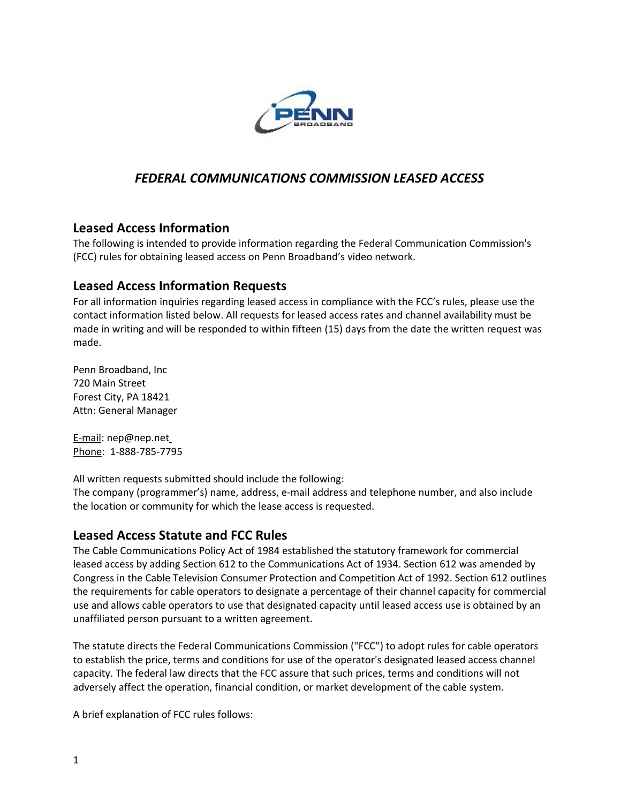

## *FEDERAL COMMUNICATIONS COMMISSION LEASED ACCESS*

## **Leased Access Information**

The following is intended to provide information regarding the Federal Communication Commission's (FCC) rules for obtaining leased access on Penn Broadband's video network.

## **Leased Access Information Requests**

For all information inquiries regarding leased access in compliance with the FCC's rules, please use the contact information listed below. All requests for leased access rates and channel availability must be made in writing and will be responded to within fifteen (15) days from the date the written request was made.

Penn Broadband, Inc 720 Main Street Forest City, PA 18421 Attn: General Manager

E-mail: nep@nep.net Phone: 1-888-785-7795

All written requests submitted should include the following:

The company (programmer's) name, address, e-mail address and telephone number, and also include the location or community for which the lease access is requested.

## **Leased Access Statute and FCC Rules**

The Cable Communications Policy Act of 1984 established the statutory framework for commercial leased access by adding Section 612 to the Communications Act of 1934. Section 612 was amended by Congress in the Cable Television Consumer Protection and Competition Act of 1992. Section 612 outlines the requirements for cable operators to designate a percentage of their channel capacity for commercial use and allows cable operators to use that designated capacity until leased access use is obtained by an unaffiliated person pursuant to a written agreement.

The statute directs the Federal Communications Commission ("FCC") to adopt rules for cable operators to establish the price, terms and conditions for use of the operator's designated leased access channel capacity. The federal law directs that the FCC assure that such prices, terms and conditions will not adversely affect the operation, financial condition, or market development of the cable system.

A brief explanation of FCC rules follows: